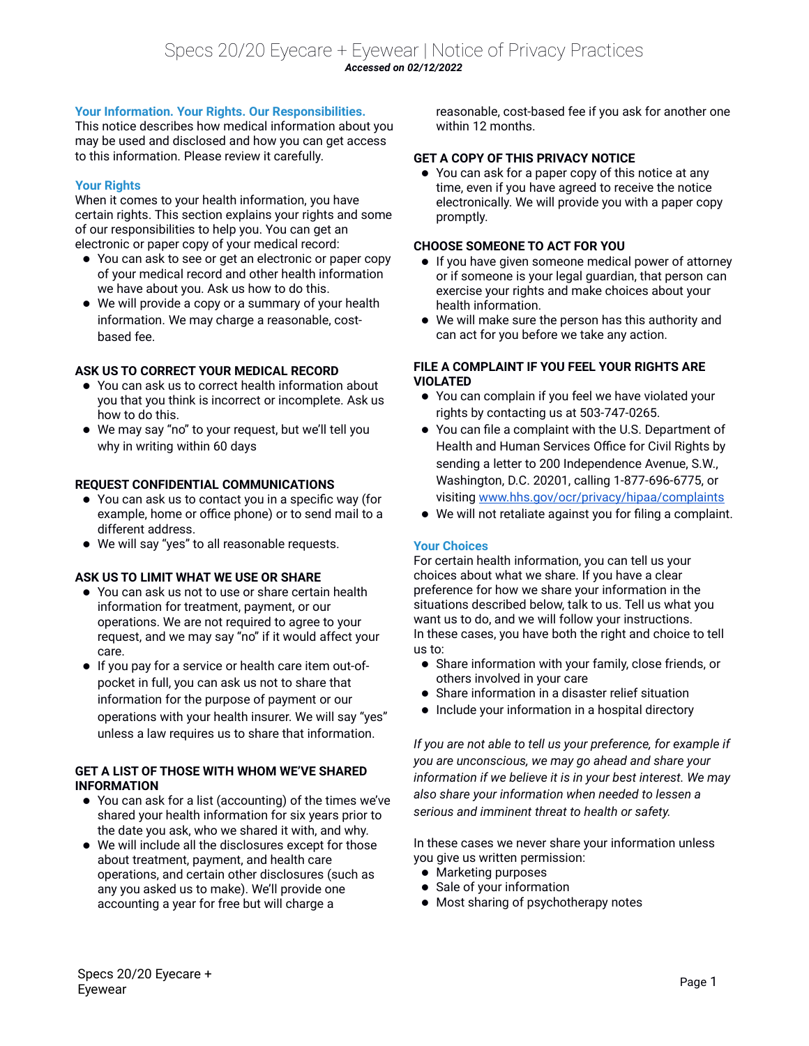# **Your Information. Your Rights. Our Responsibilities.**

This notice describes how medical information about you may be used and disclosed and how you can get access to this information. Please review it carefully.

# **Your Rights**

When it comes to your health information, you have certain rights. This section explains your rights and some of our responsibilities to help you. You can get an electronic or paper copy of your medical record:

- You can ask to see or get an electronic or paper copy of your medical record and other health information we have about you. Ask us how to do this.
- We will provide a copy or a summary of your health information. We may charge a reasonable, costbased fee.

# **ASK US TO CORRECT YOUR MEDICAL RECORD**

- You can ask us to correct health information about you that you think is incorrect or incomplete. Ask us how to do this.
- We may say "no" to your request, but we'll tell you why in writing within 60 days

## **REQUEST CONFIDENTIAL COMMUNICATIONS**

- You can ask us to contact you in a specific way (for example, home or office phone) or to send mail to a different address.
- We will say "yes" to all reasonable requests.

## **ASK US TO LIMIT WHAT WE USE OR SHARE**

- You can ask us not to use or share certain health information for treatment, payment, or our operations. We are not required to agree to your request, and we may say "no" if it would affect your care.
- If you pay for a service or health care item out-ofpocket in full, you can ask us not to share that information for the purpose of payment or our operations with your health insurer. We will say "yes" unless a law requires us to share that information.

### **GET A LIST OF THOSE WITH WHOM WE'VE SHARED INFORMATION**

- You can ask for a list (accounting) of the times we've shared your health information for six years prior to the date you ask, who we shared it with, and why.
- We will include all the disclosures except for those about treatment, payment, and health care operations, and certain other disclosures (such as any you asked us to make). We'll provide one accounting a year for free but will charge a

reasonable, cost-based fee if you ask for another one within 12 months.

#### **GET A COPY OF THIS PRIVACY NOTICE**

 You can ask for a paper copy of this notice at any time, even if you have agreed to receive the notice electronically. We will provide you with a paper copy promptly.

### **CHOOSE SOMEONE TO ACT FOR YOU**

- If you have given someone medical power of attorney or if someone is your legal guardian, that person can exercise your rights and make choices about your health information.
- We will make sure the person has this authority and can act for you before we take any action.

### **FILE A COMPLAINT IF YOU FEEL YOUR RIGHTS ARE VIOLATED**

- You can complain if you feel we have violated your rights by contacting us at 503-747-0265.
- You can file a complaint with the U.S. Department of Health and Human Services Office for Civil Rights by sending a letter to 200 Independence Avenue, S.W., Washington, D.C. 20201, calling 1-877-696-6775, or visiting [www.hhs.gov/ocr/privacy/hipaa/complaints](http://www.hhs.gov/ocr/privacy/hipaa/complaints)
- We will not retaliate against you for filing a complaint.

## **Your Choices**

For certain health information, you can tell us your choices about what we share. If you have a clear preference for how we share your information in the situations described below, talk to us. Tell us what you want us to do, and we will follow your instructions. In these cases, you have both the right and choice to tell us to:

- Share information with your family, close friends, or others involved in your care
- Share information in a disaster relief situation
- Include your information in a hospital directory

*If you are not able to tell us your preference, for example if you are unconscious, we may go ahead and share your information if we believe it is in your best interest. We may also share your information when needed to lessen a serious and imminent threat to health or safety.*

In these cases we never share your information unless you give us written permission:

- Marketing purposes
- Sale of your information
- Most sharing of psychotherapy notes